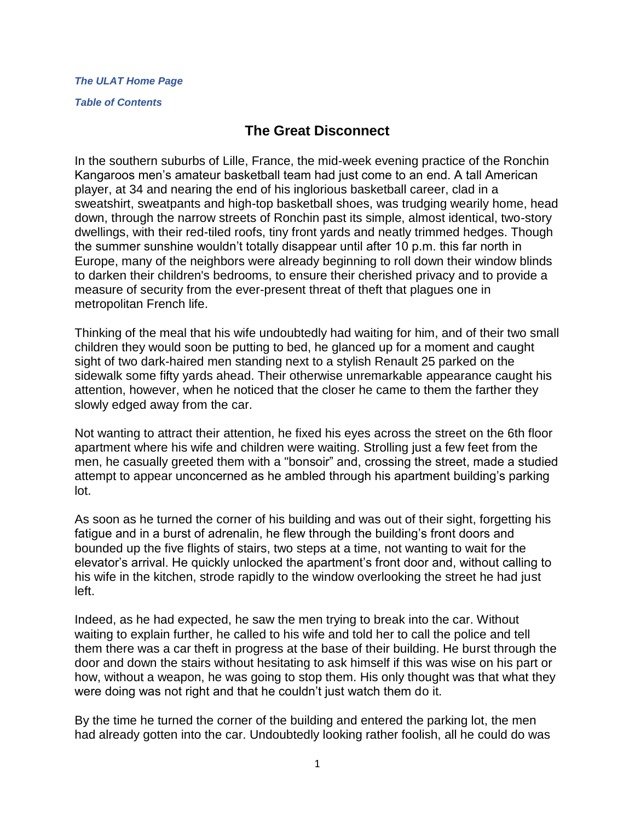#### *The ULAT [Home Page](http://www.theulat.com/)*

#### *[Table of Contents](http://www.theulat.com/INOTHERWORDS/CONTENTS.PDF)*

## **The Great Disconnect**

In the southern suburbs of Lille, France, the mid-week evening practice of the Ronchin Kangaroos men's amateur basketball team had just come to an end. A tall American player, at 34 and nearing the end of his inglorious basketball career, clad in a sweatshirt, sweatpants and high-top basketball shoes, was trudging wearily home, head down, through the narrow streets of Ronchin past its simple, almost identical, two-story dwellings, with their red-tiled roofs, tiny front yards and neatly trimmed hedges. Though the summer sunshine wouldn't totally disappear until after 10 p.m. this far north in Europe, many of the neighbors were already beginning to roll down their window blinds to darken their children's bedrooms, to ensure their cherished privacy and to provide a measure of security from the ever-present threat of theft that plagues one in metropolitan French life.

Thinking of the meal that his wife undoubtedly had waiting for him, and of their two small children they would soon be putting to bed, he glanced up for a moment and caught sight of two dark-haired men standing next to a stylish Renault 25 parked on the sidewalk some fifty yards ahead. Their otherwise unremarkable appearance caught his attention, however, when he noticed that the closer he came to them the farther they slowly edged away from the car.

Not wanting to attract their attention, he fixed his eyes across the street on the 6th floor apartment where his wife and children were waiting. Strolling just a few feet from the men, he casually greeted them with a "bonsoir" and, crossing the street, made a studied attempt to appear unconcerned as he ambled through his apartment building's parking lot.

As soon as he turned the corner of his building and was out of their sight, forgetting his fatigue and in a burst of adrenalin, he flew through the building's front doors and bounded up the five flights of stairs, two steps at a time, not wanting to wait for the elevator's arrival. He quickly unlocked the apartment's front door and, without calling to his wife in the kitchen, strode rapidly to the window overlooking the street he had just left.

Indeed, as he had expected, he saw the men trying to break into the car. Without waiting to explain further, he called to his wife and told her to call the police and tell them there was a car theft in progress at the base of their building. He burst through the door and down the stairs without hesitating to ask himself if this was wise on his part or how, without a weapon, he was going to stop them. His only thought was that what they were doing was not right and that he couldn't just watch them do it.

By the time he turned the corner of the building and entered the parking lot, the men had already gotten into the car. Undoubtedly looking rather foolish, all he could do was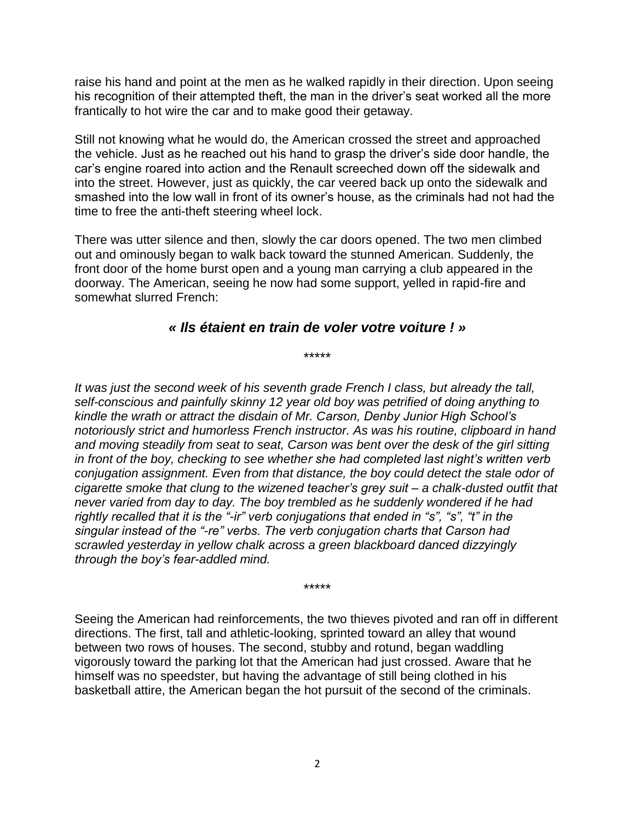raise his hand and point at the men as he walked rapidly in their direction. Upon seeing his recognition of their attempted theft, the man in the driver's seat worked all the more frantically to hot wire the car and to make good their getaway.

Still not knowing what he would do, the American crossed the street and approached the vehicle. Just as he reached out his hand to grasp the driver's side door handle, the car's engine roared into action and the Renault screeched down off the sidewalk and into the street. However, just as quickly, the car veered back up onto the sidewalk and smashed into the low wall in front of its owner's house, as the criminals had not had the time to free the anti-theft steering wheel lock.

There was utter silence and then, slowly the car doors opened. The two men climbed out and ominously began to walk back toward the stunned American. Suddenly, the front door of the home burst open and a young man carrying a club appeared in the doorway. The American, seeing he now had some support, yelled in rapid-fire and somewhat slurred French:

### *« Ils étaient en train de voler votre voiture ! »*

\*\*\*\*\*

*It was just the second week of his seventh grade French I class, but already the tall, self-conscious and painfully skinny 12 year old boy was petrified of doing anything to kindle the wrath or attract the disdain of Mr. Carson, Denby Junior High School's notoriously strict and humorless French instructor. As was his routine, clipboard in hand and moving steadily from seat to seat, Carson was bent over the desk of the girl sitting in front of the boy, checking to see whether she had completed last night's written verb conjugation assignment. Even from that distance, the boy could detect the stale odor of cigarette smoke that clung to the wizened teacher's grey suit – a chalk-dusted outfit that never varied from day to day. The boy trembled as he suddenly wondered if he had rightly recalled that it is the "-ir" verb conjugations that ended in "s", "s", "t" in the singular instead of the "-re" verbs. The verb conjugation charts that Carson had scrawled yesterday in yellow chalk across a green blackboard danced dizzyingly through the boy's fear-addled mind.*

Seeing the American had reinforcements, the two thieves pivoted and ran off in different directions. The first, tall and athletic-looking, sprinted toward an alley that wound between two rows of houses. The second, stubby and rotund, began waddling vigorously toward the parking lot that the American had just crossed. Aware that he himself was no speedster, but having the advantage of still being clothed in his basketball attire, the American began the hot pursuit of the second of the criminals.

\*\*\*\*\*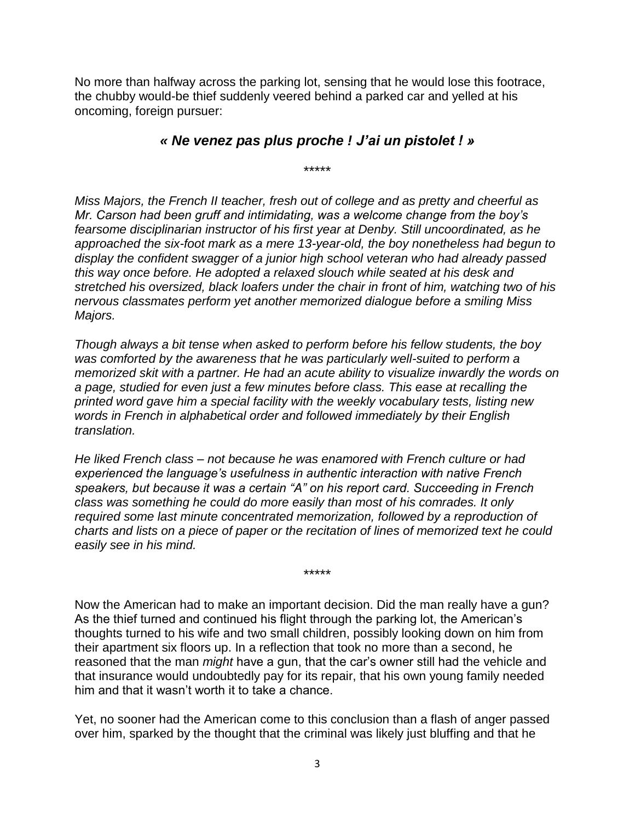No more than halfway across the parking lot, sensing that he would lose this footrace, the chubby would-be thief suddenly veered behind a parked car and yelled at his oncoming, foreign pursuer:

### *« Ne venez pas plus proche ! J'ai un pistolet ! »*

\*\*\*\*\*

*Miss Majors, the French II teacher, fresh out of college and as pretty and cheerful as Mr. Carson had been gruff and intimidating, was a welcome change from the boy's fearsome disciplinarian instructor of his first year at Denby. Still uncoordinated, as he approached the six-foot mark as a mere 13-year-old, the boy nonetheless had begun to display the confident swagger of a junior high school veteran who had already passed this way once before. He adopted a relaxed slouch while seated at his desk and stretched his oversized, black loafers under the chair in front of him, watching two of his nervous classmates perform yet another memorized dialogue before a smiling Miss Majors.*

*Though always a bit tense when asked to perform before his fellow students, the boy*  was comforted by the awareness that he was particularly well-suited to perform a *memorized skit with a partner. He had an acute ability to visualize inwardly the words on a page, studied for even just a few minutes before class. This ease at recalling the printed word gave him a special facility with the weekly vocabulary tests, listing new words in French in alphabetical order and followed immediately by their English translation.*

*He liked French class – not because he was enamored with French culture or had experienced the language's usefulness in authentic interaction with native French speakers, but because it was a certain "A" on his report card. Succeeding in French class was something he could do more easily than most of his comrades. It only required some last minute concentrated memorization, followed by a reproduction of charts and lists on a piece of paper or the recitation of lines of memorized text he could easily see in his mind.*

\*\*\*\*\*

Now the American had to make an important decision. Did the man really have a gun? As the thief turned and continued his flight through the parking lot, the American's thoughts turned to his wife and two small children, possibly looking down on him from their apartment six floors up. In a reflection that took no more than a second, he reasoned that the man *might* have a gun, that the car's owner still had the vehicle and that insurance would undoubtedly pay for its repair, that his own young family needed him and that it wasn't worth it to take a chance.

Yet, no sooner had the American come to this conclusion than a flash of anger passed over him, sparked by the thought that the criminal was likely just bluffing and that he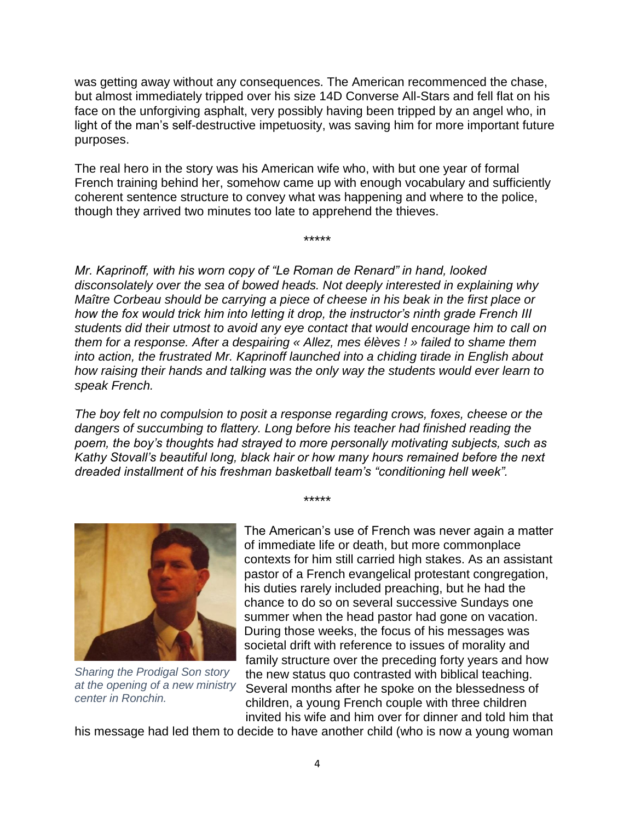was getting away without any consequences. The American recommenced the chase, but almost immediately tripped over his size 14D Converse All-Stars and fell flat on his face on the unforgiving asphalt, very possibly having been tripped by an angel who, in light of the man's self-destructive impetuosity, was saving him for more important future purposes.

The real hero in the story was his American wife who, with but one year of formal French training behind her, somehow came up with enough vocabulary and sufficiently coherent sentence structure to convey what was happening and where to the police, though they arrived two minutes too late to apprehend the thieves.

\*\*\*\*\*

*Mr. Kaprinoff, with his worn copy of "Le Roman de Renard" in hand, looked disconsolately over the sea of bowed heads. Not deeply interested in explaining why Maître Corbeau should be carrying a piece of cheese in his beak in the first place or how the fox would trick him into letting it drop, the instructor's ninth grade French III students did their utmost to avoid any eye contact that would encourage him to call on them for a response. After a despairing « Allez, mes élèves ! » failed to shame them into action, the frustrated Mr. Kaprinoff launched into a chiding tirade in English about how raising their hands and talking was the only way the students would ever learn to speak French.*

*The boy felt no compulsion to posit a response regarding crows, foxes, cheese or the dangers of succumbing to flattery. Long before his teacher had finished reading the poem, the boy's thoughts had strayed to more personally motivating subjects, such as Kathy Stovall's beautiful long, black hair or how many hours remained before the next dreaded installment of his freshman basketball team's "conditioning hell week".*

\*\*\*\*\*



*Sharing the Prodigal Son story at the opening of a new ministry center in Ronchin.*

The American's use of French was never again a matter of immediate life or death, but more commonplace contexts for him still carried high stakes. As an assistant pastor of a French evangelical protestant congregation, his duties rarely included preaching, but he had the chance to do so on several successive Sundays one summer when the head pastor had gone on vacation. During those weeks, the focus of his messages was societal drift with reference to issues of morality and family structure over the preceding forty years and how the new status quo contrasted with biblical teaching. Several months after he spoke on the blessedness of children, a young French couple with three children invited his wife and him over for dinner and told him that

his message had led them to decide to have another child (who is now a young woman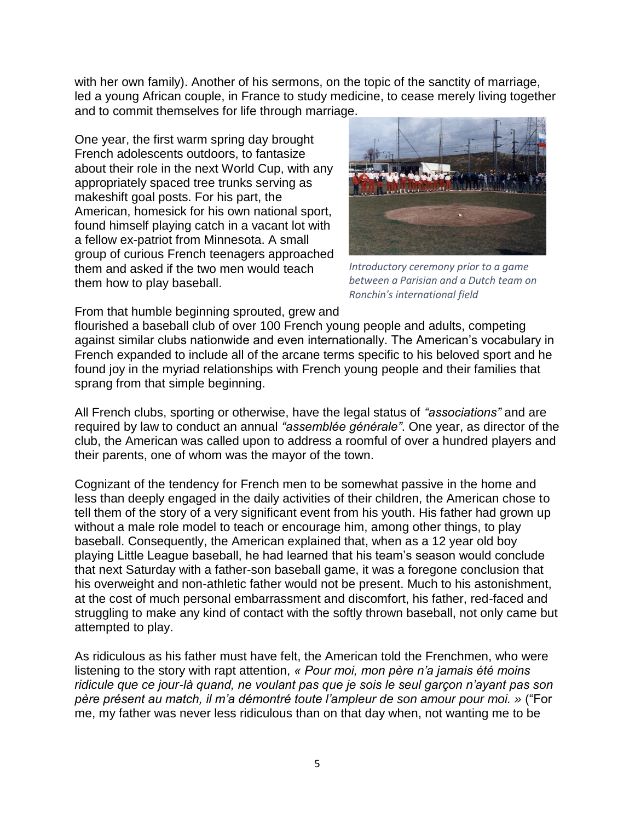with her own family). Another of his sermons, on the topic of the sanctity of marriage, led a young African couple, in France to study medicine, to cease merely living together and to commit themselves for life through marriage.

One year, the first warm spring day brought French adolescents outdoors, to fantasize about their role in the next World Cup, with any appropriately spaced tree trunks serving as makeshift goal posts. For his part, the American, homesick for his own national sport, found himself playing catch in a vacant lot with a fellow ex-patriot from Minnesota. A small group of curious French teenagers approached them and asked if the two men would teach them how to play baseball.



*Introductory ceremony prior to a game between a Parisian and a Dutch team on Ronchin's international field*

From that humble beginning sprouted, grew and

flourished a baseball club of over 100 French young people and adults, competing against similar clubs nationwide and even internationally. The American's vocabulary in French expanded to include all of the arcane terms specific to his beloved sport and he found joy in the myriad relationships with French young people and their families that sprang from that simple beginning.

All French clubs, sporting or otherwise, have the legal status of *"associations"* and are required by law to conduct an annual *"assemblée générale"*. One year, as director of the club, the American was called upon to address a roomful of over a hundred players and their parents, one of whom was the mayor of the town.

Cognizant of the tendency for French men to be somewhat passive in the home and less than deeply engaged in the daily activities of their children, the American chose to tell them of the story of a very significant event from his youth. His father had grown up without a male role model to teach or encourage him, among other things, to play baseball. Consequently, the American explained that, when as a 12 year old boy playing Little League baseball, he had learned that his team's season would conclude that next Saturday with a father-son baseball game, it was a foregone conclusion that his overweight and non-athletic father would not be present. Much to his astonishment, at the cost of much personal embarrassment and discomfort, his father, red-faced and struggling to make any kind of contact with the softly thrown baseball, not only came but attempted to play.

As ridiculous as his father must have felt, the American told the Frenchmen, who were listening to the story with rapt attention, *« Pour moi, mon père n'a jamais été moins ridicule que ce jour-là quand, ne voulant pas que je sois le seul garçon n'ayant pas son père présent au match, il m'a démontré toute l'ampleur de son amour pour moi. »* ("For me, my father was never less ridiculous than on that day when, not wanting me to be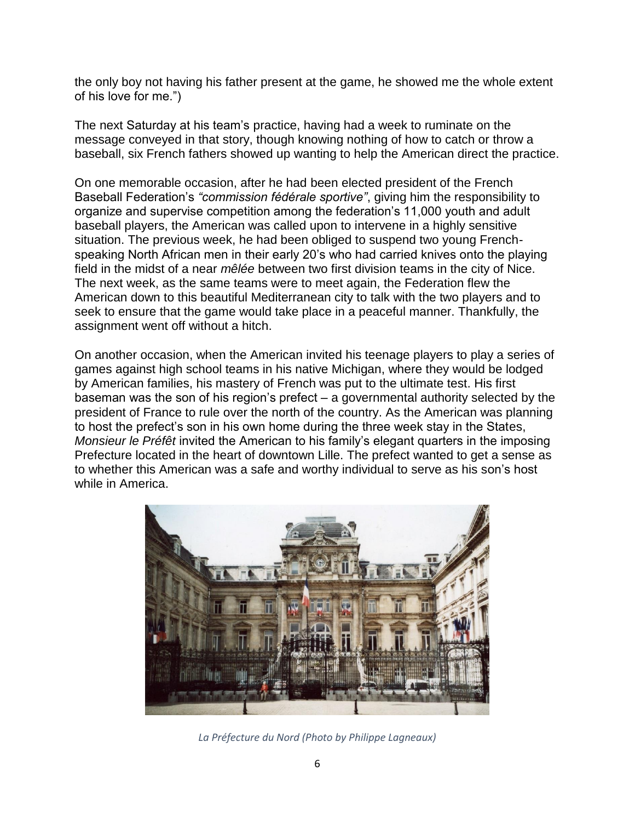the only boy not having his father present at the game, he showed me the whole extent of his love for me.")

The next Saturday at his team's practice, having had a week to ruminate on the message conveyed in that story, though knowing nothing of how to catch or throw a baseball, six French fathers showed up wanting to help the American direct the practice.

On one memorable occasion, after he had been elected president of the French Baseball Federation's *"commission fédérale sportive"*, giving him the responsibility to organize and supervise competition among the federation's 11,000 youth and adult baseball players, the American was called upon to intervene in a highly sensitive situation. The previous week, he had been obliged to suspend two young Frenchspeaking North African men in their early 20's who had carried knives onto the playing field in the midst of a near *mêlée* between two first division teams in the city of Nice. The next week, as the same teams were to meet again, the Federation flew the American down to this beautiful Mediterranean city to talk with the two players and to seek to ensure that the game would take place in a peaceful manner. Thankfully, the assignment went off without a hitch.

On another occasion, when the American invited his teenage players to play a series of games against high school teams in his native Michigan, where they would be lodged by American families, his mastery of French was put to the ultimate test. His first baseman was the son of his region's prefect – a governmental authority selected by the president of France to rule over the north of the country. As the American was planning to host the prefect's son in his own home during the three week stay in the States, *Monsieur le Préfêt* invited the American to his family's elegant quarters in the imposing Prefecture located in the heart of downtown Lille. The prefect wanted to get a sense as to whether this American was a safe and worthy individual to serve as his son's host while in America.



*La Préfecture du Nord (Photo by Philippe Lagneaux)*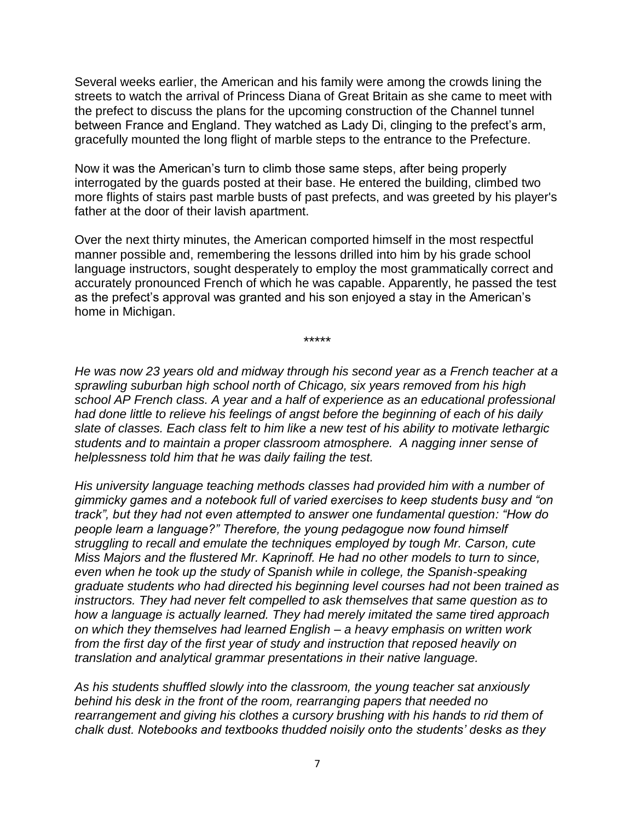Several weeks earlier, the American and his family were among the crowds lining the streets to watch the arrival of Princess Diana of Great Britain as she came to meet with the prefect to discuss the plans for the upcoming construction of the Channel tunnel between France and England. They watched as Lady Di, clinging to the prefect's arm, gracefully mounted the long flight of marble steps to the entrance to the Prefecture.

Now it was the American's turn to climb those same steps, after being properly interrogated by the guards posted at their base. He entered the building, climbed two more flights of stairs past marble busts of past prefects, and was greeted by his player's father at the door of their lavish apartment.

Over the next thirty minutes, the American comported himself in the most respectful manner possible and, remembering the lessons drilled into him by his grade school language instructors, sought desperately to employ the most grammatically correct and accurately pronounced French of which he was capable. Apparently, he passed the test as the prefect's approval was granted and his son enjoyed a stay in the American's home in Michigan.

\*\*\*\*\*

*He was now 23 years old and midway through his second year as a French teacher at a sprawling suburban high school north of Chicago, six years removed from his high school AP French class. A year and a half of experience as an educational professional had done little to relieve his feelings of angst before the beginning of each of his daily slate of classes. Each class felt to him like a new test of his ability to motivate lethargic students and to maintain a proper classroom atmosphere. A nagging inner sense of helplessness told him that he was daily failing the test.*

*His university language teaching methods classes had provided him with a number of gimmicky games and a notebook full of varied exercises to keep students busy and "on track", but they had not even attempted to answer one fundamental question: "How do people learn a language?" Therefore, the young pedagogue now found himself struggling to recall and emulate the techniques employed by tough Mr. Carson, cute Miss Majors and the flustered Mr. Kaprinoff. He had no other models to turn to since, even when he took up the study of Spanish while in college, the Spanish-speaking graduate students who had directed his beginning level courses had not been trained as instructors. They had never felt compelled to ask themselves that same question as to how a language is actually learned. They had merely imitated the same tired approach on which they themselves had learned English – a heavy emphasis on written work from the first day of the first year of study and instruction that reposed heavily on translation and analytical grammar presentations in their native language.*

*As his students shuffled slowly into the classroom, the young teacher sat anxiously behind his desk in the front of the room, rearranging papers that needed no rearrangement and giving his clothes a cursory brushing with his hands to rid them of chalk dust. Notebooks and textbooks thudded noisily onto the students' desks as they*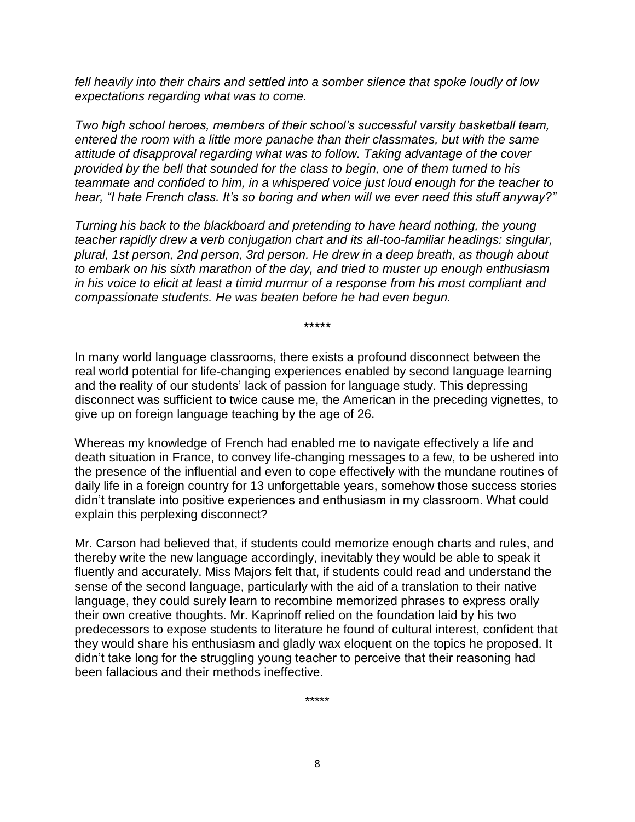*fell heavily into their chairs and settled into a somber silence that spoke loudly of low expectations regarding what was to come.*

*Two high school heroes, members of their school's successful varsity basketball team, entered the room with a little more panache than their classmates, but with the same attitude of disapproval regarding what was to follow. Taking advantage of the cover provided by the bell that sounded for the class to begin, one of them turned to his teammate and confided to him, in a whispered voice just loud enough for the teacher to hear, "I hate French class. It's so boring and when will we ever need this stuff anyway?"*

*Turning his back to the blackboard and pretending to have heard nothing, the young teacher rapidly drew a verb conjugation chart and its all-too-familiar headings: singular, plural, 1st person, 2nd person, 3rd person. He drew in a deep breath, as though about to embark on his sixth marathon of the day, and tried to muster up enough enthusiasm in his voice to elicit at least a timid murmur of a response from his most compliant and compassionate students. He was beaten before he had even begun.*

\*\*\*\*\*

In many world language classrooms, there exists a profound disconnect between the real world potential for life-changing experiences enabled by second language learning and the reality of our students' lack of passion for language study. This depressing disconnect was sufficient to twice cause me, the American in the preceding vignettes, to give up on foreign language teaching by the age of 26.

Whereas my knowledge of French had enabled me to navigate effectively a life and death situation in France, to convey life-changing messages to a few, to be ushered into the presence of the influential and even to cope effectively with the mundane routines of daily life in a foreign country for 13 unforgettable years, somehow those success stories didn't translate into positive experiences and enthusiasm in my classroom. What could explain this perplexing disconnect?

Mr. Carson had believed that, if students could memorize enough charts and rules, and thereby write the new language accordingly, inevitably they would be able to speak it fluently and accurately. Miss Majors felt that, if students could read and understand the sense of the second language, particularly with the aid of a translation to their native language, they could surely learn to recombine memorized phrases to express orally their own creative thoughts. Mr. Kaprinoff relied on the foundation laid by his two predecessors to expose students to literature he found of cultural interest, confident that they would share his enthusiasm and gladly wax eloquent on the topics he proposed. It didn't take long for the struggling young teacher to perceive that their reasoning had been fallacious and their methods ineffective.

\*\*\*\*\*